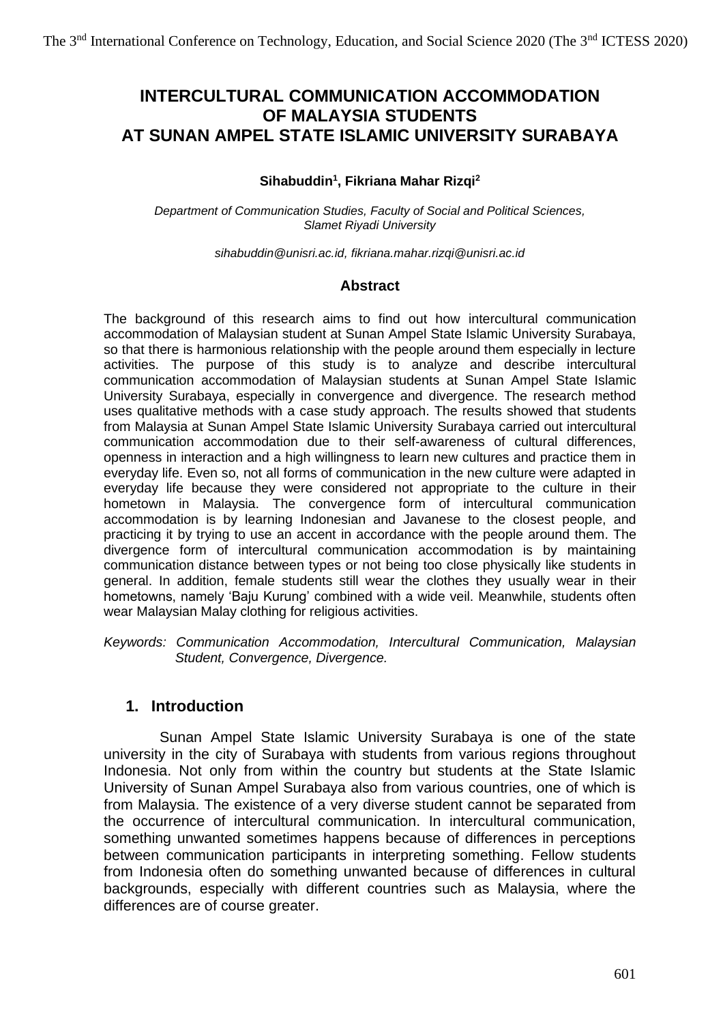# **INTERCULTURAL COMMUNICATION ACCOMMODATION OF MALAYSIA STUDENTS AT SUNAN AMPEL STATE ISLAMIC UNIVERSITY SURABAYA**

#### **Sihabuddin<sup>1</sup> , Fikriana Mahar Rizqi<sup>2</sup>**

*Department of Communication Studies, Faculty of Social and Political Sciences, Slamet Riyadi University*

*[sihabuddin@unisri.ac.id,](mailto:sihabuddin@unisri.ac.id) [fikriana.mahar.rizqi@unisri.ac.id](mailto:fikriana.mahar.rizqi@unisri.ac.id)*

#### **Abstract**

The background of this research aims to find out how intercultural communication accommodation of Malaysian student at Sunan Ampel State Islamic University Surabaya, so that there is harmonious relationship with the people around them especially in lecture activities. The purpose of this study is to analyze and describe intercultural communication accommodation of Malaysian students at Sunan Ampel State Islamic University Surabaya, especially in convergence and divergence. The research method uses qualitative methods with a case study approach. The results showed that students from Malaysia at Sunan Ampel State Islamic University Surabaya carried out intercultural communication accommodation due to their self-awareness of cultural differences, openness in interaction and a high willingness to learn new cultures and practice them in everyday life. Even so, not all forms of communication in the new culture were adapted in everyday life because they were considered not appropriate to the culture in their hometown in Malaysia. The convergence form of intercultural communication accommodation is by learning Indonesian and Javanese to the closest people, and practicing it by trying to use an accent in accordance with the people around them. The divergence form of intercultural communication accommodation is by maintaining communication distance between types or not being too close physically like students in general. In addition, female students still wear the clothes they usually wear in their hometowns, namely 'Baju Kurung' combined with a wide veil. Meanwhile, students often wear Malaysian Malay clothing for religious activities.

*Keywords: Communication Accommodation, Intercultural Communication, Malaysian Student, Convergence, Divergence.* 

#### **1. Introduction**

Sunan Ampel State Islamic University Surabaya is one of the state university in the city of Surabaya with students from various regions throughout Indonesia. Not only from within the country but students at the State Islamic University of Sunan Ampel Surabaya also from various countries, one of which is from Malaysia. The existence of a very diverse student cannot be separated from the occurrence of intercultural communication. In intercultural communication, something unwanted sometimes happens because of differences in perceptions between communication participants in interpreting something. Fellow students from Indonesia often do something unwanted because of differences in cultural backgrounds, especially with different countries such as Malaysia, where the differences are of course greater.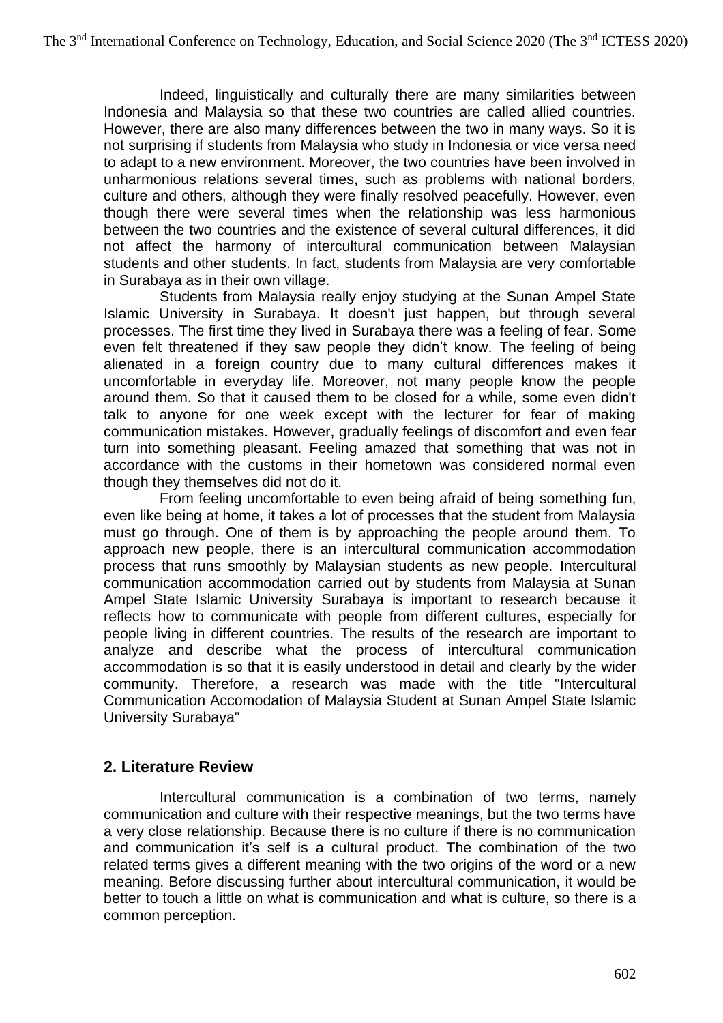Indeed, linguistically and culturally there are many similarities between Indonesia and Malaysia so that these two countries are called allied countries. However, there are also many differences between the two in many ways. So it is not surprising if students from Malaysia who study in Indonesia or vice versa need to adapt to a new environment. Moreover, the two countries have been involved in unharmonious relations several times, such as problems with national borders, culture and others, although they were finally resolved peacefully. However, even though there were several times when the relationship was less harmonious between the two countries and the existence of several cultural differences, it did not affect the harmony of intercultural communication between Malaysian students and other students. In fact, students from Malaysia are very comfortable in Surabaya as in their own village.

Students from Malaysia really enjoy studying at the Sunan Ampel State Islamic University in Surabaya. It doesn't just happen, but through several processes. The first time they lived in Surabaya there was a feeling of fear. Some even felt threatened if they saw people they didn't know. The feeling of being alienated in a foreign country due to many cultural differences makes it uncomfortable in everyday life. Moreover, not many people know the people around them. So that it caused them to be closed for a while, some even didn't talk to anyone for one week except with the lecturer for fear of making communication mistakes. However, gradually feelings of discomfort and even fear turn into something pleasant. Feeling amazed that something that was not in accordance with the customs in their hometown was considered normal even though they themselves did not do it.

From feeling uncomfortable to even being afraid of being something fun, even like being at home, it takes a lot of processes that the student from Malaysia must go through. One of them is by approaching the people around them. To approach new people, there is an intercultural communication accommodation process that runs smoothly by Malaysian students as new people. Intercultural communication accommodation carried out by students from Malaysia at Sunan Ampel State Islamic University Surabaya is important to research because it reflects how to communicate with people from different cultures, especially for people living in different countries. The results of the research are important to analyze and describe what the process of intercultural communication accommodation is so that it is easily understood in detail and clearly by the wider community. Therefore, a research was made with the title "Intercultural Communication Accomodation of Malaysia Student at Sunan Ampel State Islamic University Surabaya"

### **2. Literature Review**

Intercultural communication is a combination of two terms, namely communication and culture with their respective meanings, but the two terms have a very close relationship. Because there is no culture if there is no communication and communication it's self is a cultural product. The combination of the two related terms gives a different meaning with the two origins of the word or a new meaning. Before discussing further about intercultural communication, it would be better to touch a little on what is communication and what is culture, so there is a common perception.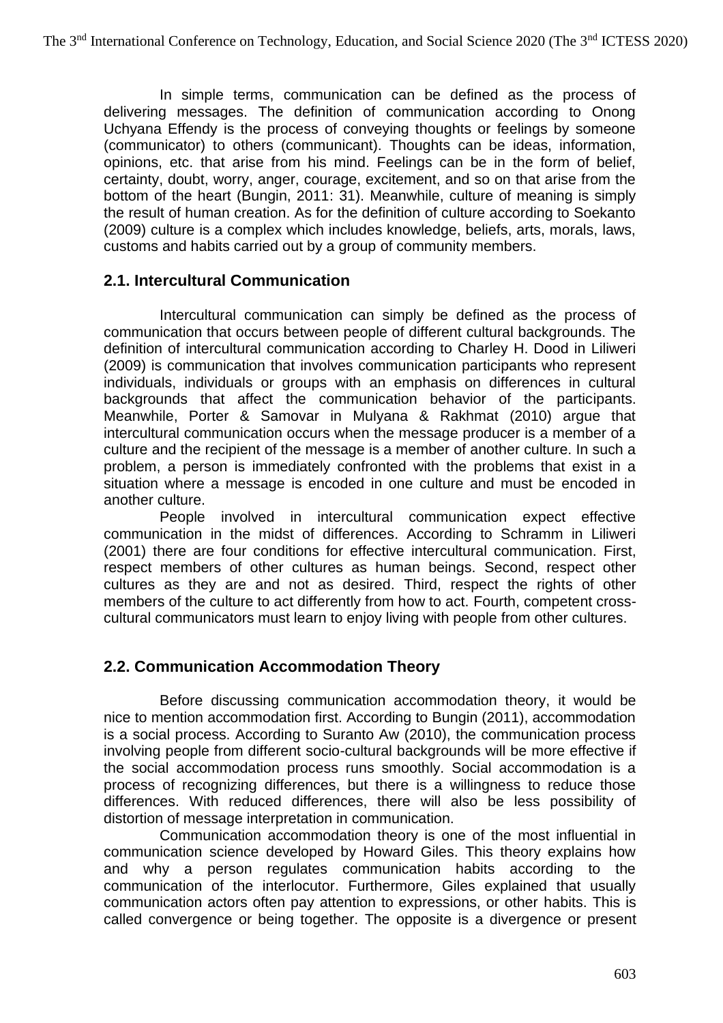In simple terms, communication can be defined as the process of delivering messages. The definition of communication according to Onong Uchyana Effendy is the process of conveying thoughts or feelings by someone (communicator) to others (communicant). Thoughts can be ideas, information, opinions, etc. that arise from his mind. Feelings can be in the form of belief, certainty, doubt, worry, anger, courage, excitement, and so on that arise from the bottom of the heart (Bungin, 2011: 31). Meanwhile, culture of meaning is simply the result of human creation. As for the definition of culture according to Soekanto (2009) culture is a complex which includes knowledge, beliefs, arts, morals, laws, customs and habits carried out by a group of community members.

### **2.1. Intercultural Communication**

Intercultural communication can simply be defined as the process of communication that occurs between people of different cultural backgrounds. The definition of intercultural communication according to Charley H. Dood in Liliweri (2009) is communication that involves communication participants who represent individuals, individuals or groups with an emphasis on differences in cultural backgrounds that affect the communication behavior of the participants. Meanwhile, Porter & Samovar in Mulyana & Rakhmat (2010) argue that intercultural communication occurs when the message producer is a member of a culture and the recipient of the message is a member of another culture. In such a problem, a person is immediately confronted with the problems that exist in a situation where a message is encoded in one culture and must be encoded in another culture.

People involved in intercultural communication expect effective communication in the midst of differences. According to Schramm in Liliweri (2001) there are four conditions for effective intercultural communication. First, respect members of other cultures as human beings. Second, respect other cultures as they are and not as desired. Third, respect the rights of other members of the culture to act differently from how to act. Fourth, competent crosscultural communicators must learn to enjoy living with people from other cultures.

### **2.2. Communication Accommodation Theory**

Before discussing communication accommodation theory, it would be nice to mention accommodation first. According to Bungin (2011), accommodation is a social process. According to Suranto Aw (2010), the communication process involving people from different socio-cultural backgrounds will be more effective if the social accommodation process runs smoothly. Social accommodation is a process of recognizing differences, but there is a willingness to reduce those differences. With reduced differences, there will also be less possibility of distortion of message interpretation in communication.

Communication accommodation theory is one of the most influential in communication science developed by Howard Giles. This theory explains how and why a person regulates communication habits according to the communication of the interlocutor. Furthermore, Giles explained that usually communication actors often pay attention to expressions, or other habits. This is called convergence or being together. The opposite is a divergence or present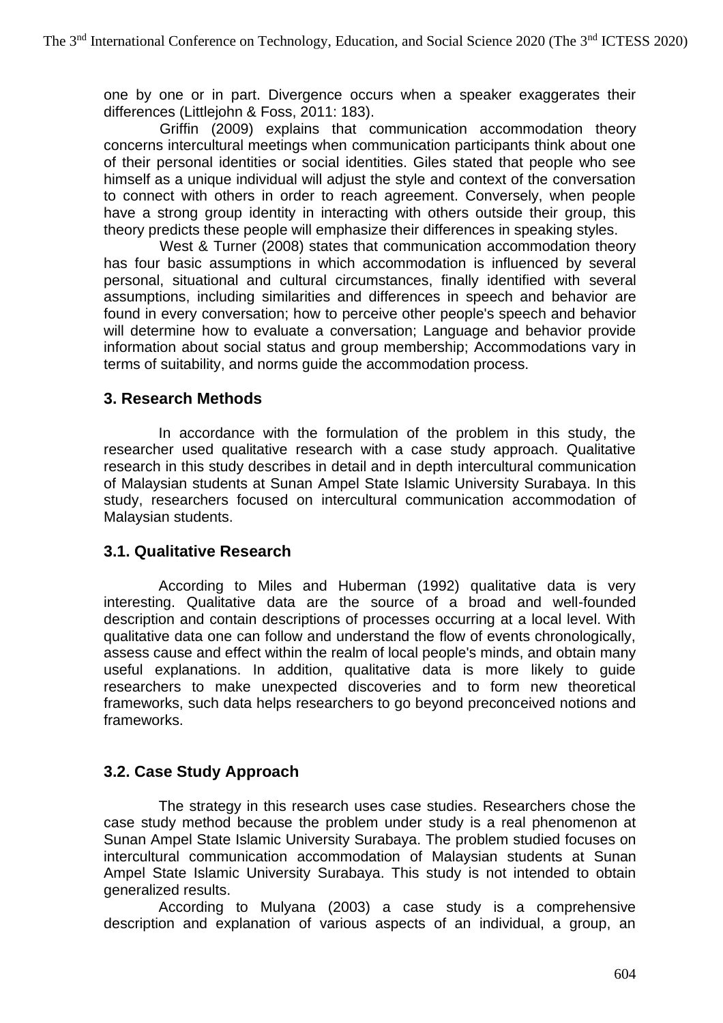one by one or in part. Divergence occurs when a speaker exaggerates their differences (Littlejohn & Foss, 2011: 183).

Griffin (2009) explains that communication accommodation theory concerns intercultural meetings when communication participants think about one of their personal identities or social identities. Giles stated that people who see himself as a unique individual will adjust the style and context of the conversation to connect with others in order to reach agreement. Conversely, when people have a strong group identity in interacting with others outside their group, this theory predicts these people will emphasize their differences in speaking styles.

West & Turner (2008) states that communication accommodation theory has four basic assumptions in which accommodation is influenced by several personal, situational and cultural circumstances, finally identified with several assumptions, including similarities and differences in speech and behavior are found in every conversation; how to perceive other people's speech and behavior will determine how to evaluate a conversation; Language and behavior provide information about social status and group membership; Accommodations vary in terms of suitability, and norms guide the accommodation process.

### **3. Research Methods**

In accordance with the formulation of the problem in this study, the researcher used qualitative research with a case study approach. Qualitative research in this study describes in detail and in depth intercultural communication of Malaysian students at Sunan Ampel State Islamic University Surabaya. In this study, researchers focused on intercultural communication accommodation of Malaysian students.

### **3.1. Qualitative Research**

According to Miles and Huberman (1992) qualitative data is very interesting. Qualitative data are the source of a broad and well-founded description and contain descriptions of processes occurring at a local level. With qualitative data one can follow and understand the flow of events chronologically, assess cause and effect within the realm of local people's minds, and obtain many useful explanations. In addition, qualitative data is more likely to guide researchers to make unexpected discoveries and to form new theoretical frameworks, such data helps researchers to go beyond preconceived notions and frameworks.

## **3.2. Case Study Approach**

The strategy in this research uses case studies. Researchers chose the case study method because the problem under study is a real phenomenon at Sunan Ampel State Islamic University Surabaya. The problem studied focuses on intercultural communication accommodation of Malaysian students at Sunan Ampel State Islamic University Surabaya. This study is not intended to obtain generalized results.

According to Mulyana (2003) a case study is a comprehensive description and explanation of various aspects of an individual, a group, an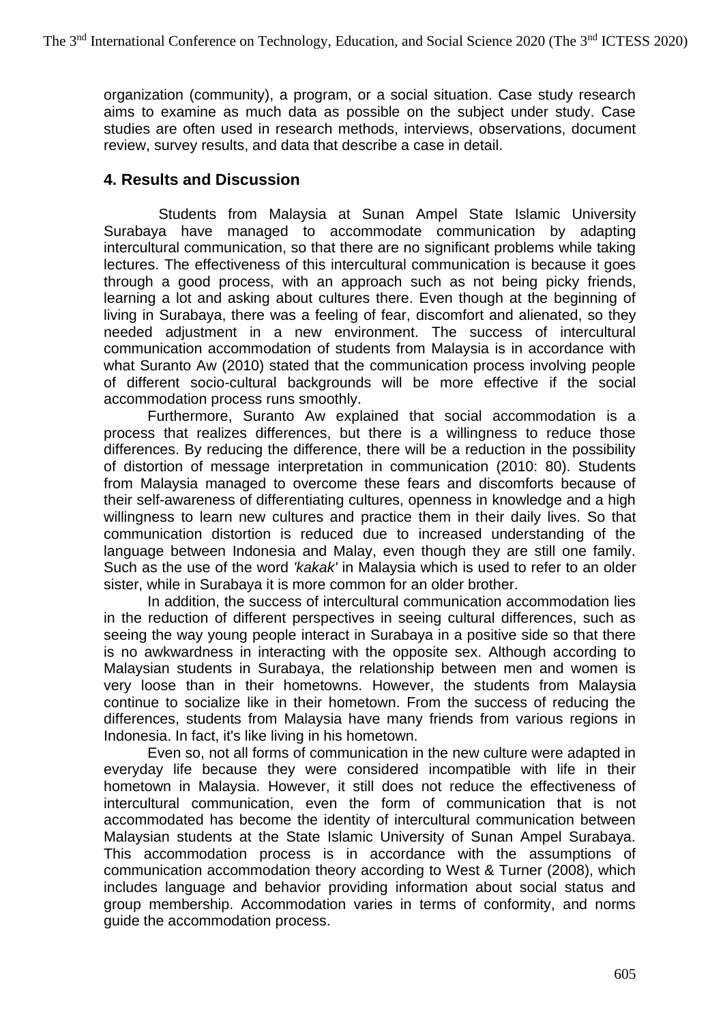organization (community), a program, or a social situation. Case study research aims to examine as much data as possible on the subject under study. Case studies are often used in research methods, interviews, observations, document review, survey results, and data that describe a case in detail.

### **4. Results and Discussion**

Students from Malaysia at Sunan Ampel State Islamic University Surabaya have managed to accommodate communication by adapting intercultural communication, so that there are no significant problems while taking lectures. The effectiveness of this intercultural communication is because it goes through a good process, with an approach such as not being picky friends, learning a lot and asking about cultures there. Even though at the beginning of living in Surabaya, there was a feeling of fear, discomfort and alienated, so they needed adjustment in a new environment. The success of intercultural communication accommodation of students from Malaysia is in accordance with what Suranto Aw (2010) stated that the communication process involving people of different socio-cultural backgrounds will be more effective if the social accommodation process runs smoothly.

Furthermore, Suranto Aw explained that social accommodation is a process that realizes differences, but there is a willingness to reduce those differences. By reducing the difference, there will be a reduction in the possibility of distortion of message interpretation in communication (2010: 80). Students from Malaysia managed to overcome these fears and discomforts because of their self-awareness of differentiating cultures, openness in knowledge and a high willingness to learn new cultures and practice them in their daily lives. So that communication distortion is reduced due to increased understanding of the language between Indonesia and Malay, even though they are still one family. Such as the use of the word *'kakak'* in Malaysia which is used to refer to an older sister, while in Surabaya it is more common for an older brother.

In addition, the success of intercultural communication accommodation lies in the reduction of different perspectives in seeing cultural differences, such as seeing the way young people interact in Surabaya in a positive side so that there is no awkwardness in interacting with the opposite sex. Although according to Malaysian students in Surabaya, the relationship between men and women is very loose than in their hometowns. However, the students from Malaysia continue to socialize like in their hometown. From the success of reducing the differences, students from Malaysia have many friends from various regions in Indonesia. In fact, it's like living in his hometown.

Even so, not all forms of communication in the new culture were adapted in everyday life because they were considered incompatible with life in their hometown in Malaysia. However, it still does not reduce the effectiveness of intercultural communication, even the form of communication that is not accommodated has become the identity of intercultural communication between Malaysian students at the State Islamic University of Sunan Ampel Surabaya. This accommodation process is in accordance with the assumptions of communication accommodation theory according to West & Turner (2008), which includes language and behavior providing information about social status and group membership. Accommodation varies in terms of conformity, and norms guide the accommodation process.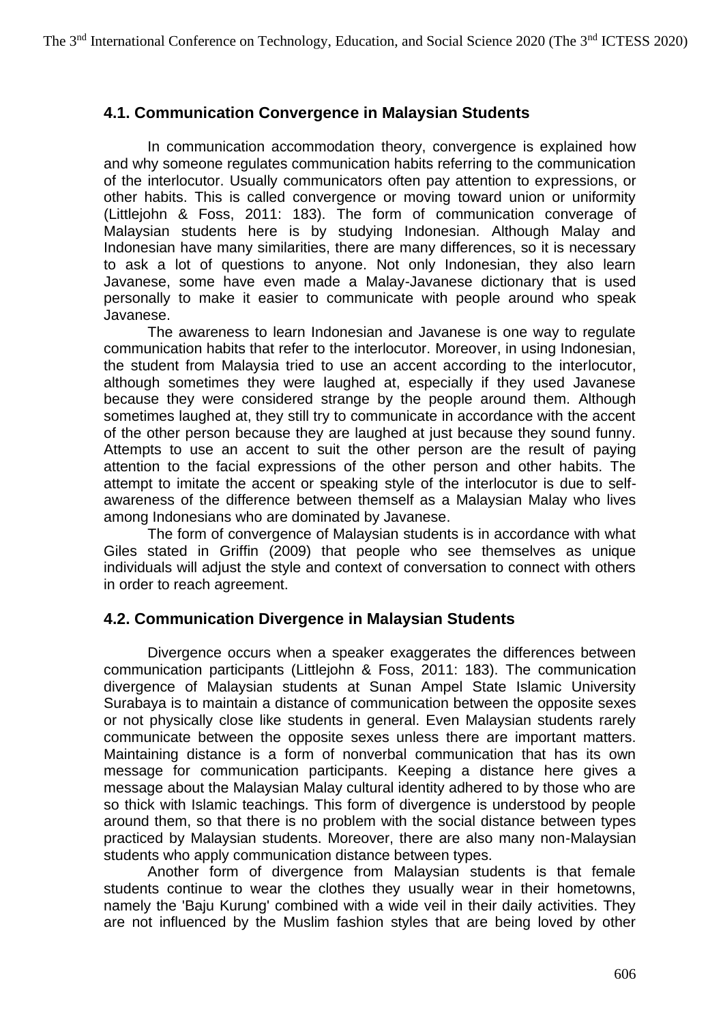## **4.1. Communication Convergence in Malaysian Students**

In communication accommodation theory, convergence is explained how and why someone regulates communication habits referring to the communication of the interlocutor. Usually communicators often pay attention to expressions, or other habits. This is called convergence or moving toward union or uniformity (Littlejohn & Foss, 2011: 183). The form of communication converage of Malaysian students here is by studying Indonesian. Although Malay and Indonesian have many similarities, there are many differences, so it is necessary to ask a lot of questions to anyone. Not only Indonesian, they also learn Javanese, some have even made a Malay-Javanese dictionary that is used personally to make it easier to communicate with people around who speak Javanese.

The awareness to learn Indonesian and Javanese is one way to regulate communication habits that refer to the interlocutor. Moreover, in using Indonesian, the student from Malaysia tried to use an accent according to the interlocutor, although sometimes they were laughed at, especially if they used Javanese because they were considered strange by the people around them. Although sometimes laughed at, they still try to communicate in accordance with the accent of the other person because they are laughed at just because they sound funny. Attempts to use an accent to suit the other person are the result of paying attention to the facial expressions of the other person and other habits. The attempt to imitate the accent or speaking style of the interlocutor is due to selfawareness of the difference between themself as a Malaysian Malay who lives among Indonesians who are dominated by Javanese.

The form of convergence of Malaysian students is in accordance with what Giles stated in Griffin (2009) that people who see themselves as unique individuals will adjust the style and context of conversation to connect with others in order to reach agreement.

### **4.2. Communication Divergence in Malaysian Students**

Divergence occurs when a speaker exaggerates the differences between communication participants (Littlejohn & Foss, 2011: 183). The communication divergence of Malaysian students at Sunan Ampel State Islamic University Surabaya is to maintain a distance of communication between the opposite sexes or not physically close like students in general. Even Malaysian students rarely communicate between the opposite sexes unless there are important matters. Maintaining distance is a form of nonverbal communication that has its own message for communication participants. Keeping a distance here gives a message about the Malaysian Malay cultural identity adhered to by those who are so thick with Islamic teachings. This form of divergence is understood by people around them, so that there is no problem with the social distance between types practiced by Malaysian students. Moreover, there are also many non-Malaysian students who apply communication distance between types.

Another form of divergence from Malaysian students is that female students continue to wear the clothes they usually wear in their hometowns, namely the 'Baju Kurung' combined with a wide veil in their daily activities. They are not influenced by the Muslim fashion styles that are being loved by other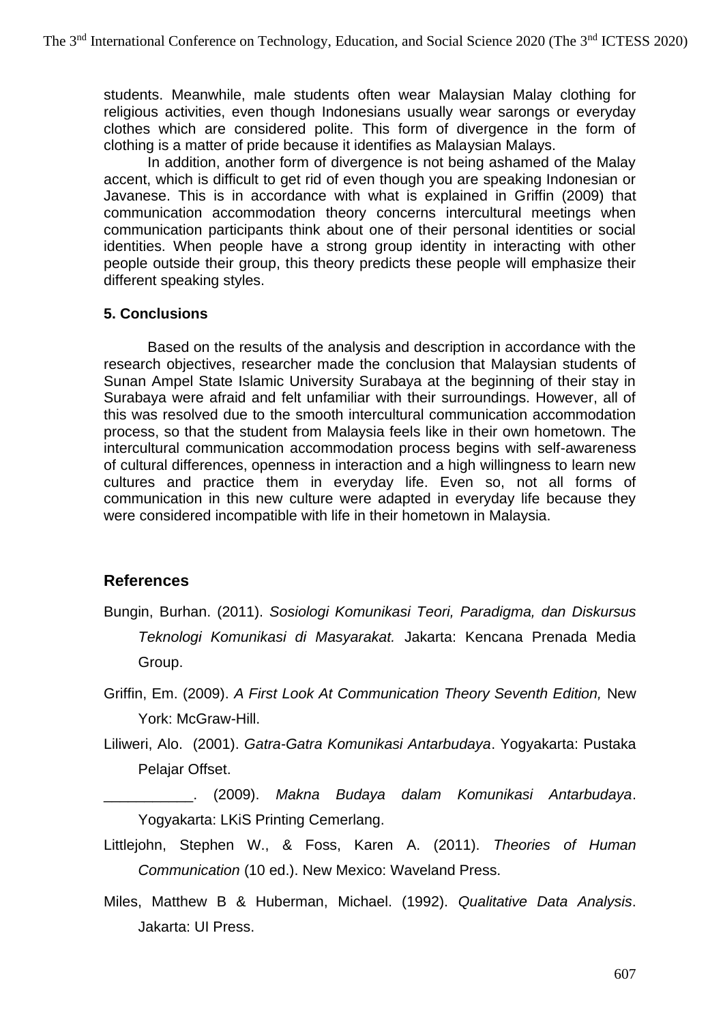students. Meanwhile, male students often wear Malaysian Malay clothing for religious activities, even though Indonesians usually wear sarongs or everyday clothes which are considered polite. This form of divergence in the form of clothing is a matter of pride because it identifies as Malaysian Malays.

In addition, another form of divergence is not being ashamed of the Malay accent, which is difficult to get rid of even though you are speaking Indonesian or Javanese. This is in accordance with what is explained in Griffin (2009) that communication accommodation theory concerns intercultural meetings when communication participants think about one of their personal identities or social identities. When people have a strong group identity in interacting with other people outside their group, this theory predicts these people will emphasize their different speaking styles.

#### **5. Conclusions**

Based on the results of the analysis and description in accordance with the research objectives, researcher made the conclusion that Malaysian students of Sunan Ampel State Islamic University Surabaya at the beginning of their stay in Surabaya were afraid and felt unfamiliar with their surroundings. However, all of this was resolved due to the smooth intercultural communication accommodation process, so that the student from Malaysia feels like in their own hometown. The intercultural communication accommodation process begins with self-awareness of cultural differences, openness in interaction and a high willingness to learn new cultures and practice them in everyday life. Even so, not all forms of communication in this new culture were adapted in everyday life because they were considered incompatible with life in their hometown in Malaysia.

### **References**

- Bungin, Burhan. (2011). *Sosiologi Komunikasi Teori, Paradigma, dan Diskursus Teknologi Komunikasi di Masyarakat.* Jakarta: Kencana Prenada Media Group.
- Griffin, Em. (2009). *A First Look At Communication Theory Seventh Edition,* New York: McGraw-Hill.
- Liliweri, Alo. (2001). *Gatra-Gatra Komunikasi Antarbudaya*. Yogyakarta: Pustaka Pelajar Offset.
- \_\_\_\_\_\_\_\_\_\_\_. (2009). *Makna Budaya dalam Komunikasi Antarbudaya*. Yogyakarta: LKiS Printing Cemerlang.
- Littlejohn, Stephen W., & Foss, Karen A. (2011). *Theories of Human Communication* (10 ed.). New Mexico: Waveland Press.
- Miles, Matthew B & Huberman, Michael. (1992). *Qualitative Data Analysis*. Jakarta: UI Press.